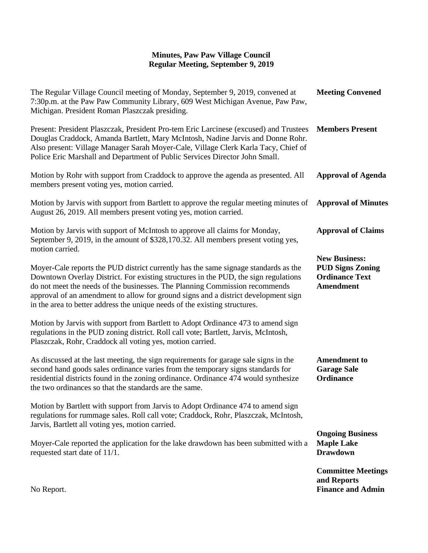## **Minutes, Paw Paw Village Council Regular Meeting, September 9, 2019**

| The Regular Village Council meeting of Monday, September 9, 2019, convened at<br>7:30p.m. at the Paw Paw Community Library, 609 West Michigan Avenue, Paw Paw,<br>Michigan. President Roman Plaszczak presiding.                                                                                                                                                                                                              | <b>Meeting Convened</b>                                                                      |
|-------------------------------------------------------------------------------------------------------------------------------------------------------------------------------------------------------------------------------------------------------------------------------------------------------------------------------------------------------------------------------------------------------------------------------|----------------------------------------------------------------------------------------------|
| Present: President Plaszczak, President Pro-tem Eric Larcinese (excused) and Trustees<br>Douglas Craddock, Amanda Bartlett, Mary McIntosh, Nadine Jarvis and Donne Rohr.<br>Also present: Village Manager Sarah Moyer-Cale, Village Clerk Karla Tacy, Chief of<br>Police Eric Marshall and Department of Public Services Director John Small.                                                                                 | <b>Members Present</b>                                                                       |
| Motion by Rohr with support from Craddock to approve the agenda as presented. All<br>members present voting yes, motion carried.                                                                                                                                                                                                                                                                                              | <b>Approval of Agenda</b>                                                                    |
| Motion by Jarvis with support from Bartlett to approve the regular meeting minutes of<br>August 26, 2019. All members present voting yes, motion carried.                                                                                                                                                                                                                                                                     | <b>Approval of Minutes</b>                                                                   |
| Motion by Jarvis with support of McIntosh to approve all claims for Monday,<br>September 9, 2019, in the amount of \$328,170.32. All members present voting yes,<br>motion carried.                                                                                                                                                                                                                                           | <b>Approval of Claims</b>                                                                    |
| Moyer-Cale reports the PUD district currently has the same signage standards as the<br>Downtown Overlay District. For existing structures in the PUD, the sign regulations<br>do not meet the needs of the businesses. The Planning Commission recommends<br>approval of an amendment to allow for ground signs and a district development sign<br>in the area to better address the unique needs of the existing structures. | <b>New Business:</b><br><b>PUD Signs Zoning</b><br><b>Ordinance Text</b><br><b>Amendment</b> |
| Motion by Jarvis with support from Bartlett to Adopt Ordinance 473 to amend sign<br>regulations in the PUD zoning district. Roll call vote; Bartlett, Jarvis, McIntosh,<br>Plaszczak, Rohr, Craddock all voting yes, motion carried.                                                                                                                                                                                          |                                                                                              |
| As discussed at the last meeting, the sign requirements for garage sale signs in the<br>second hand goods sales ordinance varies from the temporary signs standards for<br>residential districts found in the zoning ordinance. Ordinance 474 would synthesize<br>the two ordinances so that the standards are the same.                                                                                                      | <b>Amendment to</b><br><b>Garage Sale</b><br><b>Ordinance</b>                                |
| Motion by Bartlett with support from Jarvis to Adopt Ordinance 474 to amend sign<br>regulations for rummage sales. Roll call vote; Craddock, Rohr, Plaszczak, McIntosh,<br>Jarvis, Bartlett all voting yes, motion carried.                                                                                                                                                                                                   |                                                                                              |
| Moyer-Cale reported the application for the lake drawdown has been submitted with a<br>requested start date of 11/1.                                                                                                                                                                                                                                                                                                          | <b>Ongoing Business</b><br><b>Maple Lake</b><br><b>Drawdown</b>                              |
| No Report.                                                                                                                                                                                                                                                                                                                                                                                                                    | <b>Committee Meetings</b><br>and Reports<br><b>Finance and Admin</b>                         |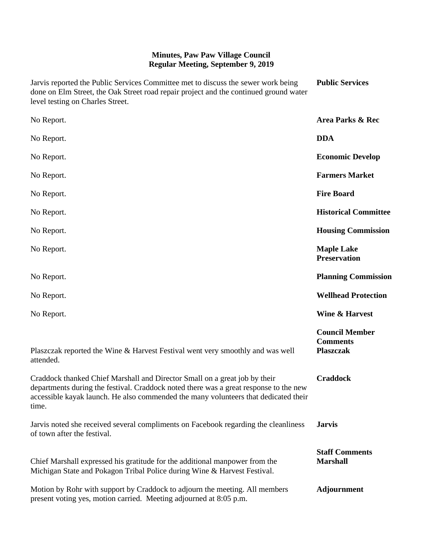## **Minutes, Paw Paw Village Council Regular Meeting, September 9, 2019**

| Jarvis reported the Public Services Committee met to discuss the sewer work being<br>done on Elm Street, the Oak Street road repair project and the continued ground water<br>level testing on Charles Street.                                                      | <b>Public Services</b>                                       |
|---------------------------------------------------------------------------------------------------------------------------------------------------------------------------------------------------------------------------------------------------------------------|--------------------------------------------------------------|
| No Report.                                                                                                                                                                                                                                                          | <b>Area Parks &amp; Rec</b>                                  |
| No Report.                                                                                                                                                                                                                                                          | <b>DDA</b>                                                   |
| No Report.                                                                                                                                                                                                                                                          | <b>Economic Develop</b>                                      |
| No Report.                                                                                                                                                                                                                                                          | <b>Farmers Market</b>                                        |
| No Report.                                                                                                                                                                                                                                                          | <b>Fire Board</b>                                            |
| No Report.                                                                                                                                                                                                                                                          | <b>Historical Committee</b>                                  |
| No Report.                                                                                                                                                                                                                                                          | <b>Housing Commission</b>                                    |
| No Report.                                                                                                                                                                                                                                                          | <b>Maple Lake</b><br><b>Preservation</b>                     |
| No Report.                                                                                                                                                                                                                                                          | <b>Planning Commission</b>                                   |
| No Report.                                                                                                                                                                                                                                                          | <b>Wellhead Protection</b>                                   |
| No Report.                                                                                                                                                                                                                                                          | <b>Wine &amp; Harvest</b>                                    |
| Plaszczak reported the Wine & Harvest Festival went very smoothly and was well<br>attended.                                                                                                                                                                         | <b>Council Member</b><br><b>Comments</b><br><b>Plaszczak</b> |
| Craddock thanked Chief Marshall and Director Small on a great job by their<br>departments during the festival. Craddock noted there was a great response to the new<br>accessible kayak launch. He also commended the many volunteers that dedicated their<br>time. | <b>Craddock</b>                                              |
| Jarvis noted she received several compliments on Facebook regarding the cleanliness<br>of town after the festival.                                                                                                                                                  | <b>Jarvis</b>                                                |
| Chief Marshall expressed his gratitude for the additional manpower from the<br>Michigan State and Pokagon Tribal Police during Wine & Harvest Festival.                                                                                                             | <b>Staff Comments</b><br><b>Marshall</b>                     |
| Motion by Rohr with support by Craddock to adjourn the meeting. All members<br>present voting yes, motion carried. Meeting adjourned at 8:05 p.m.                                                                                                                   | <b>Adjournment</b>                                           |